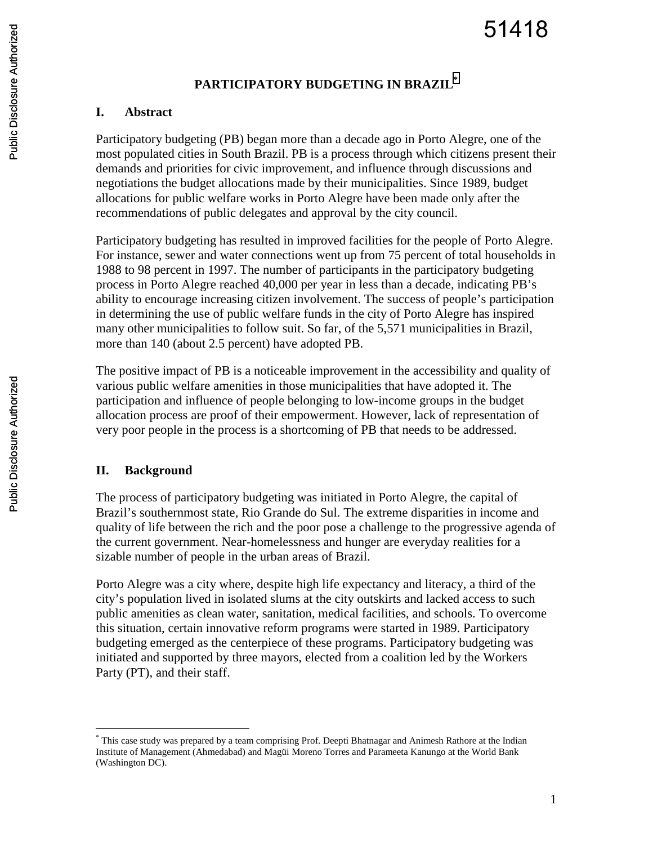## **PARTICIPATORY BUDGETING IN BRAZIL\***

#### **I. Abstract**

Participatory budgeting (PB) began more than a decade ago in Porto Alegre, one of the most populated cities in South Brazil. PB is a process through which citizens present their demands and priorities for civic improvement, and influence through discussions and negotiations the budget allocations made by their municipalities. Since 1989, budget allocations for public welfare works in Porto Alegre have been made only after the recommendations of public delegates and approval by the city council.

Participatory budgeting has resulted in improved facilities for the people of Porto Alegre. For instance, sewer and water connections went up from 75 percent of total households in 1988 to 98 percent in 1997. The number of participants in the participatory budgeting process in Porto Alegre reached 40,000 per year in less than a decade, indicating PB's ability to encourage increasing citizen involvement. The success of people's participation in determining the use of public welfare funds in the city of Porto Alegre has inspired many other municipalities to follow suit. So far, of the 5,571 municipalities in Brazil, more than 140 (about 2.5 percent) have adopted PB.

The positive impact of PB is a noticeable improvement in the accessibility and quality of various public welfare amenities in those municipalities that have adopted it. The participation and influence of people belonging to low-income groups in the budget allocation process are proof of their empowerment. However, lack of representation of very poor people in the process is a shortcoming of PB that needs to be addressed.

# **II. Background**

1

The process of participatory budgeting was initiated in Porto Alegre, the capital of Brazil's southernmost state, Rio Grande do Sul. The extreme disparities in income and quality of life between the rich and the poor pose a challenge to the progressive agenda of the current government. Near-homelessness and hunger are everyday realities for a sizable number of people in the urban areas of Brazil.

Porto Alegre was a city where, despite high life expectancy and literacy, a third of the city's population lived in isolated slums at the city outskirts and lacked access to such public amenities as clean water, sanitation, medical facilities, and schools. To overcome this situation, certain innovative reform programs were started in 1989. Participatory budgeting emerged as the centerpiece of these programs. Participatory budgeting was initiated and supported by three mayors, elected from a coalition led by the Workers Party (PT), and their staff.

<sup>\*</sup> This case study was prepared by a team comprising Prof. Deepti Bhatnagar and Animesh Rathore at the Indian Institute of Management (Ahmedabad) and Magüi Moreno Torres and Parameeta Kanungo at the World Bank (Washington DC).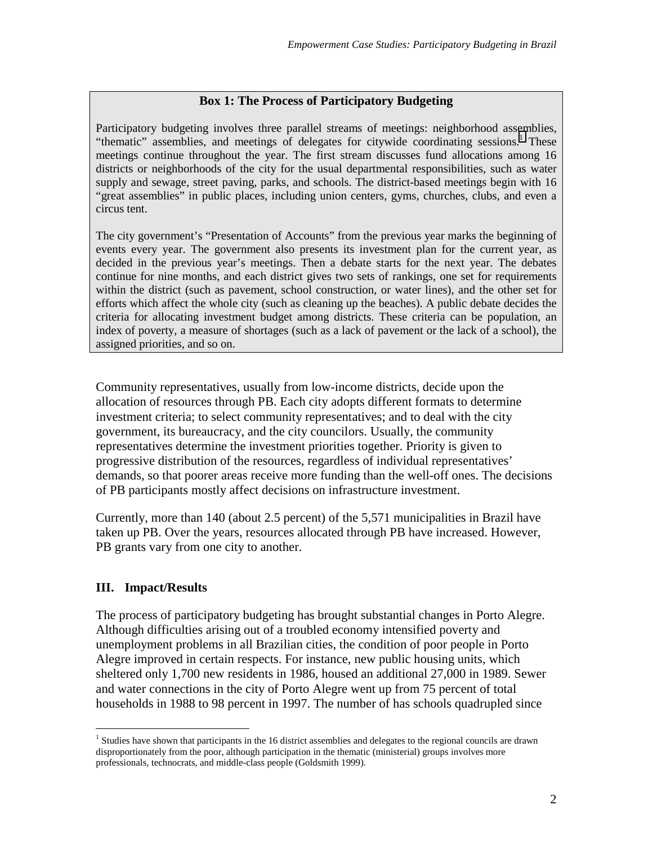#### **Box 1: The Process of Participatory Budgeting**

Participatory budgeting involves three parallel streams of meetings: neighborhood assemblies, "thematic" assemblies, and meetings of delegates for citywide coordinating sessions.<sup>1</sup> These meetings continue throughout the year. The first stream discusses fund allocations among 16 districts or neighborhoods of the city for the usual departmental responsibilities, such as water supply and sewage, street paving, parks, and schools. The district-based meetings begin with 16 "great assemblies" in public places, including union centers, gyms, churches, clubs, and even a circus tent.

The city government's "Presentation of Accounts" from the previous year marks the beginning of events every year. The government also presents its investment plan for the current year, as decided in the previous year's meetings. Then a debate starts for the next year. The debates continue for nine months, and each district gives two sets of rankings, one set for requirements within the district (such as pavement, school construction, or water lines), and the other set for efforts which affect the whole city (such as cleaning up the beaches). A public debate decides the criteria for allocating investment budget among districts. These criteria can be population, an index of poverty, a measure of shortages (such as a lack of pavement or the lack of a school), the assigned priorities, and so on.

Community representatives, usually from low-income districts, decide upon the allocation of resources through PB. Each city adopts different formats to determine investment criteria; to select community representatives; and to deal with the city government, its bureaucracy, and the city councilors. Usually, the community representatives determine the investment priorities together. Priority is given to progressive distribution of the resources, regardless of individual representatives' demands, so that poorer areas receive more funding than the well-off ones. The decisions of PB participants mostly affect decisions on infrastructure investment.

Currently, more than 140 (about 2.5 percent) of the 5,571 municipalities in Brazil have taken up PB. Over the years, resources allocated through PB have increased. However, PB grants vary from one city to another.

#### **III. Impact/Results**

 $\overline{a}$ 

The process of participatory budgeting has brought substantial changes in Porto Alegre. Although difficulties arising out of a troubled economy intensified poverty and unemployment problems in all Brazilian cities, the condition of poor people in Porto Alegre improved in certain respects. For instance, new public housing units, which sheltered only 1,700 new residents in 1986, housed an additional 27,000 in 1989. Sewer and water connections in the city of Porto Alegre went up from 75 percent of total households in 1988 to 98 percent in 1997. The number of has schools quadrupled since

<sup>&</sup>lt;sup>1</sup> Studies have shown that participants in the 16 district assemblies and delegates to the regional councils are drawn disproportionately from the poor, although participation in the thematic (ministerial) groups involves more professionals, technocrats, and middle-class people (Goldsmith 1999).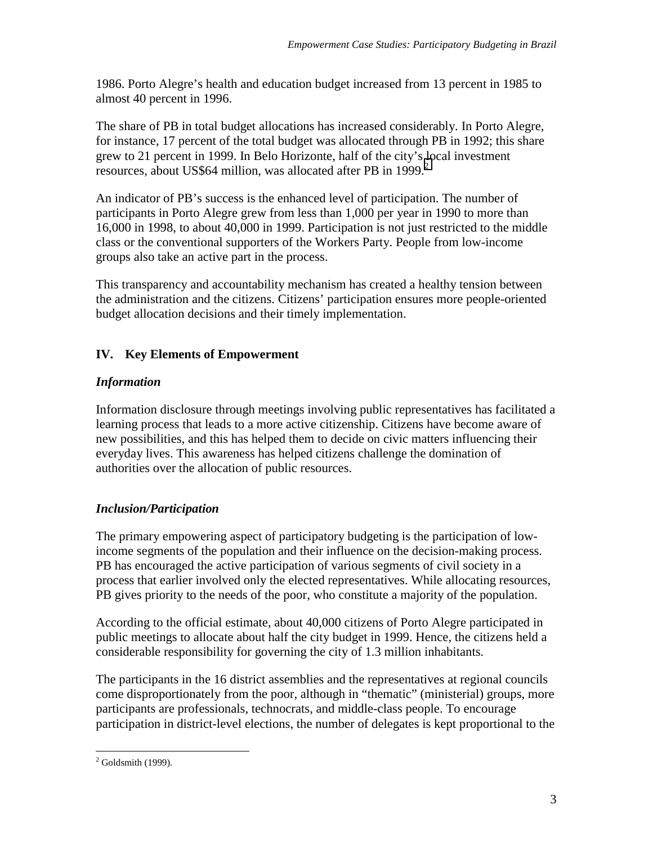1986. Porto Alegre's health and education budget increased from 13 percent in 1985 to almost 40 percent in 1996.

The share of PB in total budget allocations has increased considerably. In Porto Alegre, for instance, 17 percent of the total budget was allocated through PB in 1992; this share grew to 21 percent in 1999. In Belo Horizonte, half of the city's local investment resources, about US\$64 million, was allocated after PB in 1999. $^2$ 

An indicator of PB's success is the enhanced level of participation. The number of participants in Porto Alegre grew from less than 1,000 per year in 1990 to more than 16,000 in 1998, to about 40,000 in 1999. Participation is not just restricted to the middle class or the conventional supporters of the Workers Party. People from low-income groups also take an active part in the process.

This transparency and accountability mechanism has created a healthy tension between the administration and the citizens. Citizens' participation ensures more people-oriented budget allocation decisions and their timely implementation.

## **IV. Key Elements of Empowerment**

### *Information*

Information disclosure through meetings involving public representatives has facilitated a learning process that leads to a more active citizenship. Citizens have become aware of new possibilities, and this has helped them to decide on civic matters influencing their everyday lives. This awareness has helped citizens challenge the domination of authorities over the allocation of public resources.

### *Inclusion/Participation*

The primary empowering aspect of participatory budgeting is the participation of lowincome segments of the population and their influence on the decision-making process. PB has encouraged the active participation of various segments of civil society in a process that earlier involved only the elected representatives. While allocating resources, PB gives priority to the needs of the poor, who constitute a majority of the population.

According to the official estimate, about 40,000 citizens of Porto Alegre participated in public meetings to allocate about half the city budget in 1999. Hence, the citizens held a considerable responsibility for governing the city of 1.3 million inhabitants.

The participants in the 16 district assemblies and the representatives at regional councils come disproportionately from the poor, although in "thematic" (ministerial) groups, more participants are professionals, technocrats, and middle-class people. To encourage participation in district-level elections, the number of delegates is kept proportional to the

 $\overline{a}$  $2$  Goldsmith (1999).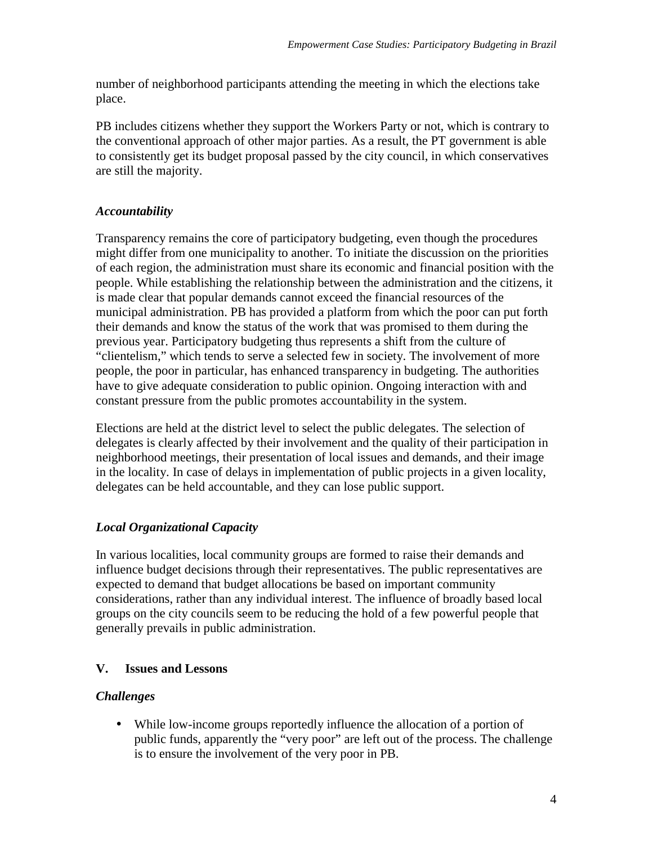number of neighborhood participants attending the meeting in which the elections take place.

PB includes citizens whether they support the Workers Party or not, which is contrary to the conventional approach of other major parties. As a result, the PT government is able to consistently get its budget proposal passed by the city council, in which conservatives are still the majority.

### *Accountability*

Transparency remains the core of participatory budgeting, even though the procedures might differ from one municipality to another. To initiate the discussion on the priorities of each region, the administration must share its economic and financial position with the people. While establishing the relationship between the administration and the citizens, it is made clear that popular demands cannot exceed the financial resources of the municipal administration. PB has provided a platform from which the poor can put forth their demands and know the status of the work that was promised to them during the previous year. Participatory budgeting thus represents a shift from the culture of "clientelism," which tends to serve a selected few in society. The involvement of more people, the poor in particular, has enhanced transparency in budgeting. The authorities have to give adequate consideration to public opinion. Ongoing interaction with and constant pressure from the public promotes accountability in the system.

Elections are held at the district level to select the public delegates. The selection of delegates is clearly affected by their involvement and the quality of their participation in neighborhood meetings, their presentation of local issues and demands, and their image in the locality. In case of delays in implementation of public projects in a given locality, delegates can be held accountable, and they can lose public support.

# *Local Organizational Capacity*

In various localities, local community groups are formed to raise their demands and influence budget decisions through their representatives. The public representatives are expected to demand that budget allocations be based on important community considerations, rather than any individual interest. The influence of broadly based local groups on the city councils seem to be reducing the hold of a few powerful people that generally prevails in public administration.

# **V. Issues and Lessons**

### *Challenges*

• While low-income groups reportedly influence the allocation of a portion of public funds, apparently the "very poor" are left out of the process. The challenge is to ensure the involvement of the very poor in PB.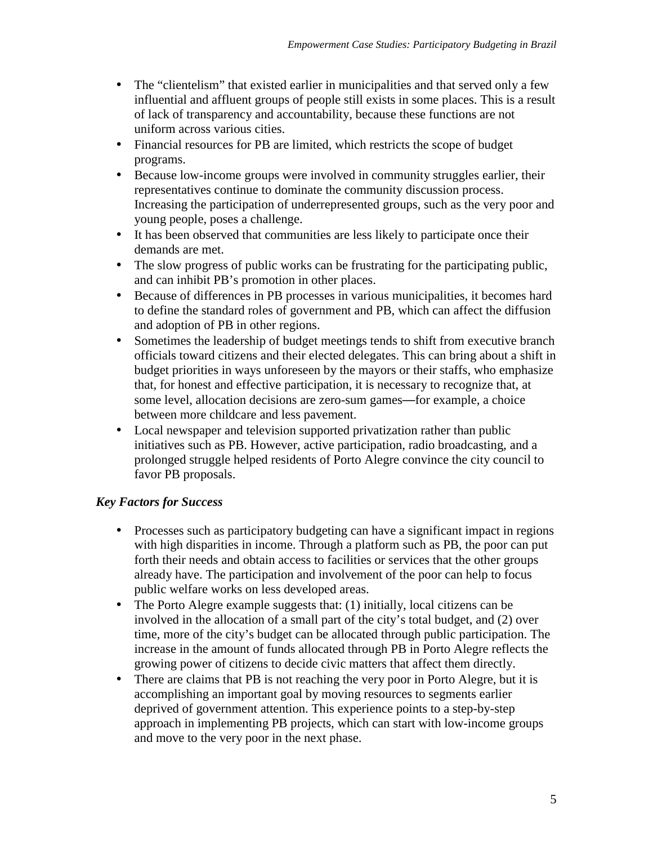- The "clientelism" that existed earlier in municipalities and that served only a few influential and affluent groups of people still exists in some places. This is a result of lack of transparency and accountability, because these functions are not uniform across various cities.
- Financial resources for PB are limited, which restricts the scope of budget programs.
- Because low-income groups were involved in community struggles earlier, their representatives continue to dominate the community discussion process. Increasing the participation of underrepresented groups, such as the very poor and young people, poses a challenge.
- It has been observed that communities are less likely to participate once their demands are met.
- The slow progress of public works can be frustrating for the participating public, and can inhibit PB's promotion in other places.
- Because of differences in PB processes in various municipalities, it becomes hard to define the standard roles of government and PB, which can affect the diffusion and adoption of PB in other regions.
- Sometimes the leadership of budget meetings tends to shift from executive branch officials toward citizens and their elected delegates. This can bring about a shift in budget priorities in ways unforeseen by the mayors or their staffs, who emphasize that, for honest and effective participation, it is necessary to recognize that, at some level, allocation decisions are zero-sum games—for example, a choice between more childcare and less pavement.
- Local newspaper and television supported privatization rather than public initiatives such as PB. However, active participation, radio broadcasting, and a prolonged struggle helped residents of Porto Alegre convince the city council to favor PB proposals.

### *Key Factors for Success*

- Processes such as participatory budgeting can have a significant impact in regions with high disparities in income. Through a platform such as PB, the poor can put forth their needs and obtain access to facilities or services that the other groups already have. The participation and involvement of the poor can help to focus public welfare works on less developed areas.
- The Porto Alegre example suggests that: (1) initially, local citizens can be involved in the allocation of a small part of the city's total budget, and (2) over time, more of the city's budget can be allocated through public participation. The increase in the amount of funds allocated through PB in Porto Alegre reflects the growing power of citizens to decide civic matters that affect them directly.
- There are claims that PB is not reaching the very poor in Porto Alegre, but it is accomplishing an important goal by moving resources to segments earlier deprived of government attention. This experience points to a step-by-step approach in implementing PB projects, which can start with low-income groups and move to the very poor in the next phase.